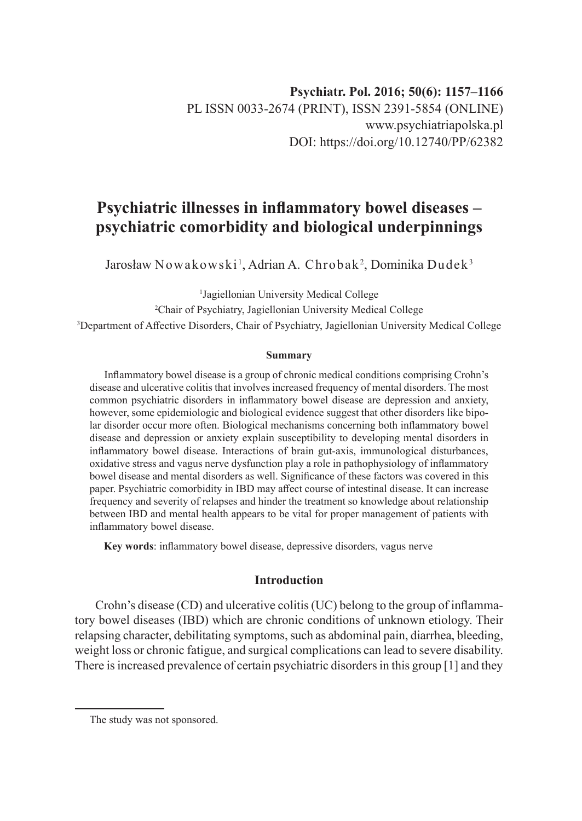# **Psychiatric illnesses in inflammatory bowel diseases – psychiatric comorbidity and biological underpinnings**

Jarosław Nowakowski $^{\rm l}$ , Adrian A. Chrobak $^{\rm 2}$ , Dominika Dudek $^{\rm 3}$ 

1 Jagiellonian University Medical College

2 Chair of Psychiatry, Jagiellonian University Medical College

3 Department of Affective Disorders, Chair of Psychiatry, Jagiellonian University Medical College

#### **Summary**

Inflammatory bowel disease is a group of chronic medical conditions comprising Crohn's disease and ulcerative colitis that involves increased frequency of mental disorders. The most common psychiatric disorders in inflammatory bowel disease are depression and anxiety, however, some epidemiologic and biological evidence suggest that other disorders like bipolar disorder occur more often. Biological mechanisms concerning both inflammatory bowel disease and depression or anxiety explain susceptibility to developing mental disorders in inflammatory bowel disease. Interactions of brain gut-axis, immunological disturbances, oxidative stress and vagus nerve dysfunction play a role in pathophysiology of inflammatory bowel disease and mental disorders as well. Significance of these factors was covered in this paper. Psychiatric comorbidity in IBD may affect course of intestinal disease. It can increase frequency and severity of relapses and hinder the treatment so knowledge about relationship between IBD and mental health appears to be vital for proper management of patients with inflammatory bowel disease.

**Key words**: inflammatory bowel disease, depressive disorders, vagus nerve

# **Introduction**

Crohn's disease (CD) and ulcerative colitis (UC) belong to the group of inflammatory bowel diseases (IBD) which are chronic conditions of unknown etiology. Their relapsing character, debilitating symptoms, such as abdominal pain, diarrhea, bleeding, weight loss or chronic fatigue, and surgical complications can lead to severe disability. There is increased prevalence of certain psychiatric disorders in this group [1] and they

The study was not sponsored.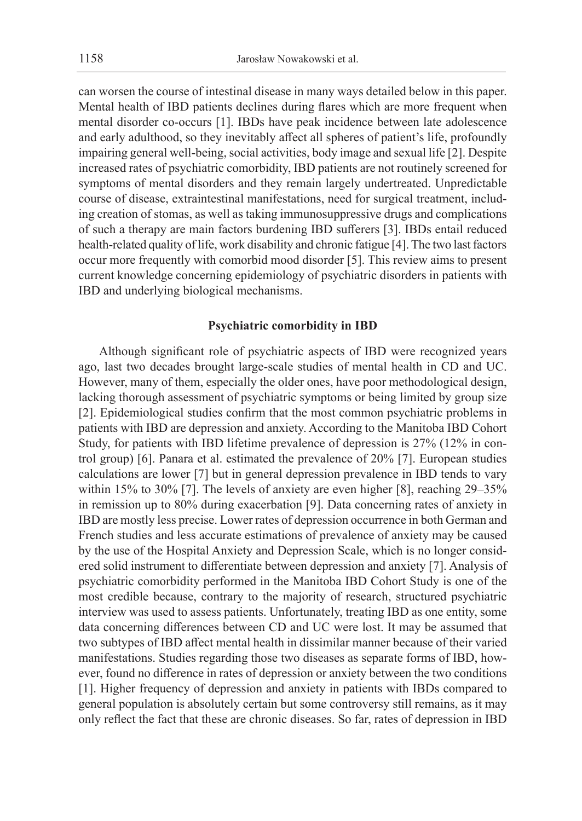can worsen the course of intestinal disease in many ways detailed below in this paper. Mental health of IBD patients declines during flares which are more frequent when mental disorder co-occurs [1]. IBDs have peak incidence between late adolescence and early adulthood, so they inevitably affect all spheres of patient's life, profoundly impairing general well-being, social activities, body image and sexual life [2]. Despite increased rates of psychiatric comorbidity, IBD patients are not routinely screened for symptoms of mental disorders and they remain largely undertreated. Unpredictable course of disease, extraintestinal manifestations, need for surgical treatment, including creation of stomas, as well as taking immunosuppressive drugs and complications of such a therapy are main factors burdening IBD sufferers [3]. IBDs entail reduced health-related quality of life, work disability and chronic fatigue [4]. The two last factors occur more frequently with comorbid mood disorder [5]. This review aims to present current knowledge concerning epidemiology of psychiatric disorders in patients with IBD and underlying biological mechanisms.

# **Psychiatric comorbidity in IBD**

Although significant role of psychiatric aspects of IBD were recognized years ago, last two decades brought large-scale studies of mental health in CD and UC. However, many of them, especially the older ones, have poor methodological design, lacking thorough assessment of psychiatric symptoms or being limited by group size [2]. Epidemiological studies confirm that the most common psychiatric problems in patients with IBD are depression and anxiety. According to the Manitoba IBD Cohort Study, for patients with IBD lifetime prevalence of depression is 27% (12% in control group) [6]. Panara et al. estimated the prevalence of 20% [7]. European studies calculations are lower [7] but in general depression prevalence in IBD tends to vary within 15% to 30% [7]. The levels of anxiety are even higher [8], reaching 29–35% in remission up to 80% during exacerbation [9]. Data concerning rates of anxiety in IBD are mostly less precise. Lower rates of depression occurrence in both German and French studies and less accurate estimations of prevalence of anxiety may be caused by the use of the Hospital Anxiety and Depression Scale, which is no longer considered solid instrument to differentiate between depression and anxiety [7]. Analysis of psychiatric comorbidity performed in the Manitoba IBD Cohort Study is one of the most credible because, contrary to the majority of research, structured psychiatric interview was used to assess patients. Unfortunately, treating IBD as one entity, some data concerning differences between CD and UC were lost. It may be assumed that two subtypes of IBD affect mental health in dissimilar manner because of their varied manifestations. Studies regarding those two diseases as separate forms of IBD, however, found no difference in rates of depression or anxiety between the two conditions [1]. Higher frequency of depression and anxiety in patients with IBDs compared to general population is absolutely certain but some controversy still remains, as it may only reflect the fact that these are chronic diseases. So far, rates of depression in IBD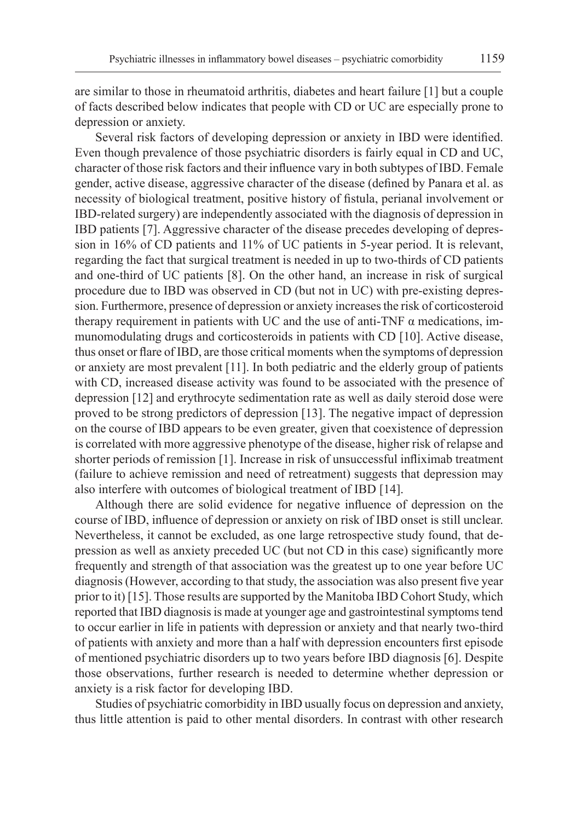are similar to those in rheumatoid arthritis, diabetes and heart failure [1] but a couple of facts described below indicates that people with CD or UC are especially prone to depression or anxiety.

Several risk factors of developing depression or anxiety in IBD were identified. Even though prevalence of those psychiatric disorders is fairly equal in CD and UC, character of those risk factors and their influence vary in both subtypes of IBD. Female gender, active disease, aggressive character of the disease (defined by Panara et al. as necessity of biological treatment, positive history of fistula, perianal involvement or IBD-related surgery) are independently associated with the diagnosis of depression in IBD patients [7]. Aggressive character of the disease precedes developing of depression in 16% of CD patients and 11% of UC patients in 5-year period. It is relevant, regarding the fact that surgical treatment is needed in up to two-thirds of CD patients and one-third of UC patients [8]. On the other hand, an increase in risk of surgical procedure due to IBD was observed in CD (but not in UC) with pre-existing depression. Furthermore, presence of depression or anxiety increases the risk of corticosteroid therapy requirement in patients with UC and the use of anti-TNF  $\alpha$  medications, immunomodulating drugs and corticosteroids in patients with CD [10]. Active disease, thus onset or flare of IBD, are those critical moments when the symptoms of depression or anxiety are most prevalent [11]. In both pediatric and the elderly group of patients with CD, increased disease activity was found to be associated with the presence of depression [12] and erythrocyte sedimentation rate as well as daily steroid dose were proved to be strong predictors of depression [13]. The negative impact of depression on the course of IBD appears to be even greater, given that coexistence of depression is correlated with more aggressive phenotype of the disease, higher risk of relapse and shorter periods of remission [1]. Increase in risk of unsuccessful infliximab treatment (failure to achieve remission and need of retreatment) suggests that depression may also interfere with outcomes of biological treatment of IBD [14].

Although there are solid evidence for negative influence of depression on the course of IBD, influence of depression or anxiety on risk of IBD onset is still unclear. Nevertheless, it cannot be excluded, as one large retrospective study found, that depression as well as anxiety preceded UC (but not CD in this case) significantly more frequently and strength of that association was the greatest up to one year before UC diagnosis (However, according to that study, the association was also present five year prior to it) [15]. Those results are supported by the Manitoba IBD Cohort Study, which reported that IBD diagnosis is made at younger age and gastrointestinal symptoms tend to occur earlier in life in patients with depression or anxiety and that nearly two-third of patients with anxiety and more than a half with depression encounters first episode of mentioned psychiatric disorders up to two years before IBD diagnosis [6]. Despite those observations, further research is needed to determine whether depression or anxiety is a risk factor for developing IBD.

Studies of psychiatric comorbidity in IBD usually focus on depression and anxiety, thus little attention is paid to other mental disorders. In contrast with other research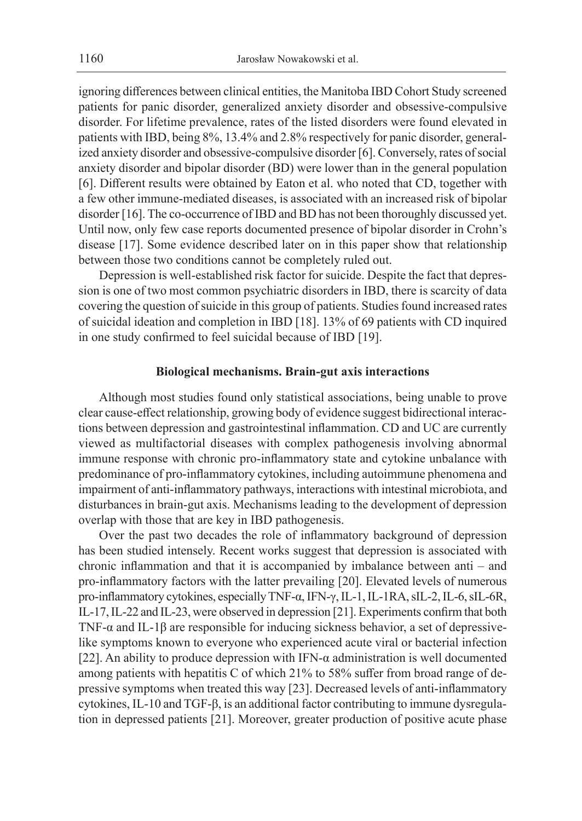ignoring differences between clinical entities, the Manitoba IBD Cohort Study screened patients for panic disorder, generalized anxiety disorder and obsessive-compulsive disorder. For lifetime prevalence, rates of the listed disorders were found elevated in patients with IBD, being 8%, 13.4% and 2.8% respectively for panic disorder, generalized anxiety disorder and obsessive-compulsive disorder [6]. Conversely, rates of social anxiety disorder and bipolar disorder (BD) were lower than in the general population [6]. Different results were obtained by Eaton et al. who noted that CD, together with a few other immune-mediated diseases, is associated with an increased risk of bipolar disorder [16]. The co-occurrence of IBD and BD has not been thoroughly discussed yet. Until now, only few case reports documented presence of bipolar disorder in Crohn's disease [17]. Some evidence described later on in this paper show that relationship between those two conditions cannot be completely ruled out.

Depression is well-established risk factor for suicide. Despite the fact that depression is one of two most common psychiatric disorders in IBD, there is scarcity of data covering the question of suicide in this group of patients. Studies found increased rates of suicidal ideation and completion in IBD [18]. 13% of 69 patients with CD inquired in one study confirmed to feel suicidal because of IBD [19].

## **Biological mechanisms. Brain-gut axis interactions**

Although most studies found only statistical associations, being unable to prove clear cause-effect relationship, growing body of evidence suggest bidirectional interactions between depression and gastrointestinal inflammation. CD and UC are currently viewed as multifactorial diseases with complex pathogenesis involving abnormal immune response with chronic pro-inflammatory state and cytokine unbalance with predominance of pro-inflammatory cytokines, including autoimmune phenomena and impairment of anti-inflammatory pathways, interactions with intestinal microbiota, and disturbances in brain-gut axis. Mechanisms leading to the development of depression overlap with those that are key in IBD pathogenesis.

Over the past two decades the role of inflammatory background of depression has been studied intensely. Recent works suggest that depression is associated with chronic inflammation and that it is accompanied by imbalance between anti – and pro-inflammatory factors with the latter prevailing [20]. Elevated levels of numerous pro-inflammatory cytokines, especially TNF-α, IFN-γ, IL-1, IL-1RA, sIL-2, IL-6, sIL-6R, IL-17, IL-22 and IL-23, were observed in depression [21]. Experiments confirm that both TNF-α and IL-1β are responsible for inducing sickness behavior, a set of depressivelike symptoms known to everyone who experienced acute viral or bacterial infection [22]. An ability to produce depression with IFN-α administration is well documented among patients with hepatitis C of which 21% to 58% suffer from broad range of depressive symptoms when treated this way [23]. Decreased levels of anti-inflammatory cytokines, IL-10 and TGF-β, is an additional factor contributing to immune dysregulation in depressed patients [21]. Moreover, greater production of positive acute phase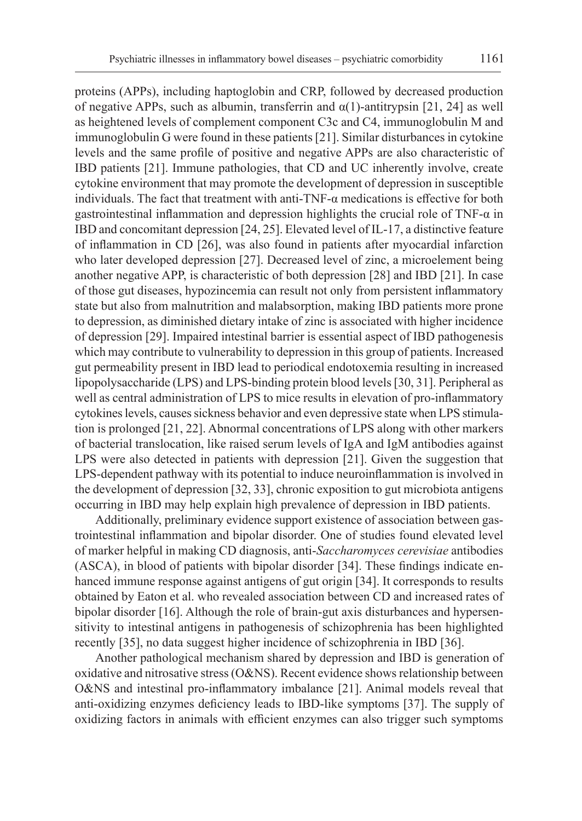proteins (APPs), including haptoglobin and CRP, followed by decreased production of negative APPs, such as albumin, transferrin and  $\alpha(1)$ -antitrypsin [21, 24] as well as heightened levels of complement component C3c and C4, immunoglobulin M and immunoglobulin G were found in these patients [21]. Similar disturbances in cytokine levels and the same profile of positive and negative APPs are also characteristic of IBD patients [21]. Immune pathologies, that CD and UC inherently involve, create cytokine environment that may promote the development of depression in susceptible individuals. The fact that treatment with anti-TNF- $\alpha$  medications is effective for both gastrointestinal inflammation and depression highlights the crucial role of TNF-α in IBD and concomitant depression [24, 25]. Elevated level of IL-17, a distinctive feature of inflammation in CD [26], was also found in patients after myocardial infarction who later developed depression [27]. Decreased level of zinc, a microelement being another negative APP, is characteristic of both depression [28] and IBD [21]. In case of those gut diseases, hypozincemia can result not only from persistent inflammatory state but also from malnutrition and malabsorption, making IBD patients more prone to depression, as diminished dietary intake of zinc is associated with higher incidence of depression [29]. Impaired intestinal barrier is essential aspect of IBD pathogenesis which may contribute to vulnerability to depression in this group of patients. Increased gut permeability present in IBD lead to periodical endotoxemia resulting in increased lipopolysaccharide (LPS) and LPS-binding protein blood levels [30, 31]. Peripheral as well as central administration of LPS to mice results in elevation of pro-inflammatory cytokines levels, causes sickness behavior and even depressive state when LPS stimulation is prolonged [21, 22]. Abnormal concentrations of LPS along with other markers of bacterial translocation, like raised serum levels of IgA and IgM antibodies against LPS were also detected in patients with depression [21]. Given the suggestion that LPS-dependent pathway with its potential to induce neuroinflammation is involved in the development of depression [32, 33], chronic exposition to gut microbiota antigens occurring in IBD may help explain high prevalence of depression in IBD patients.

Additionally, preliminary evidence support existence of association between gastrointestinal inflammation and bipolar disorder. One of studies found elevated level of marker helpful in making CD diagnosis, anti-*Saccharomyces cerevisiae* antibodies (ASCA), in blood of patients with bipolar disorder [34]. These findings indicate enhanced immune response against antigens of gut origin [34]. It corresponds to results obtained by Eaton et al. who revealed association between CD and increased rates of bipolar disorder [16]. Although the role of brain-gut axis disturbances and hypersensitivity to intestinal antigens in pathogenesis of schizophrenia has been highlighted recently [35], no data suggest higher incidence of schizophrenia in IBD [36].

Another pathological mechanism shared by depression and IBD is generation of oxidative and nitrosative stress (O&NS). Recent evidence shows relationship between O&NS and intestinal pro-inflammatory imbalance [21]. Animal models reveal that anti-oxidizing enzymes deficiency leads to IBD-like symptoms [37]. The supply of oxidizing factors in animals with efficient enzymes can also trigger such symptoms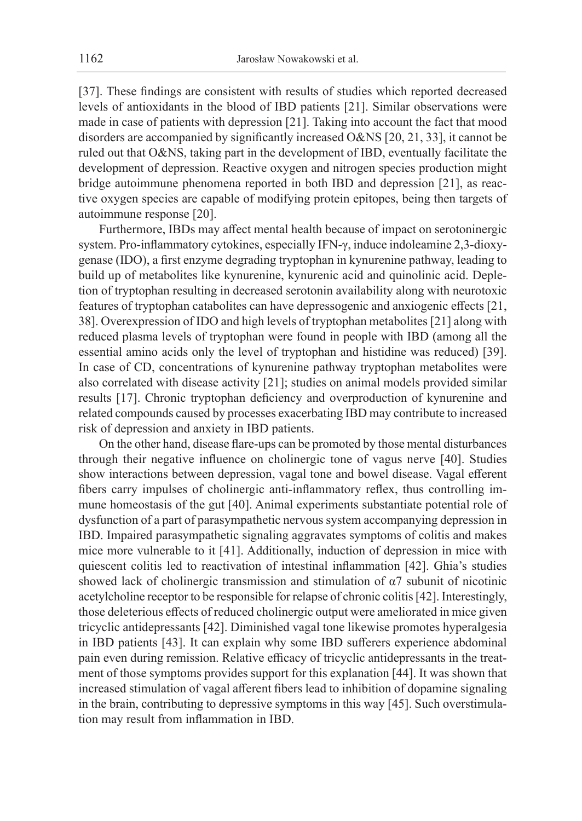[37]. These findings are consistent with results of studies which reported decreased levels of antioxidants in the blood of IBD patients [21]. Similar observations were made in case of patients with depression [21]. Taking into account the fact that mood disorders are accompanied by significantly increased O&NS [20, 21, 33], it cannot be ruled out that O&NS, taking part in the development of IBD, eventually facilitate the development of depression. Reactive oxygen and nitrogen species production might bridge autoimmune phenomena reported in both IBD and depression [21], as reactive oxygen species are capable of modifying protein epitopes, being then targets of autoimmune response [20].

Furthermore, IBDs may affect mental health because of impact on serotoninergic system. Pro-inflammatory cytokines, especially IFN-γ, induce indoleamine 2,3-dioxygenase (IDO), a first enzyme degrading tryptophan in kynurenine pathway, leading to build up of metabolites like kynurenine, kynurenic acid and quinolinic acid. Depletion of tryptophan resulting in decreased serotonin availability along with neurotoxic features of tryptophan catabolites can have depressogenic and anxiogenic effects [21, 38]. Overexpression of IDO and high levels of tryptophan metabolites [21] along with reduced plasma levels of tryptophan were found in people with IBD (among all the essential amino acids only the level of tryptophan and histidine was reduced) [39]. In case of CD, concentrations of kynurenine pathway tryptophan metabolites were also correlated with disease activity [21]; studies on animal models provided similar results [17]. Chronic tryptophan deficiency and overproduction of kynurenine and related compounds caused by processes exacerbating IBD may contribute to increased risk of depression and anxiety in IBD patients.

On the other hand, disease flare-ups can be promoted by those mental disturbances through their negative influence on cholinergic tone of vagus nerve [40]. Studies show interactions between depression, vagal tone and bowel disease. Vagal efferent fibers carry impulses of cholinergic anti-inflammatory reflex, thus controlling immune homeostasis of the gut [40]. Animal experiments substantiate potential role of dysfunction of a part of parasympathetic nervous system accompanying depression in IBD. Impaired parasympathetic signaling aggravates symptoms of colitis and makes mice more vulnerable to it [41]. Additionally, induction of depression in mice with quiescent colitis led to reactivation of intestinal inflammation [42]. Ghia's studies showed lack of cholinergic transmission and stimulation of α7 subunit of nicotinic acetylcholine receptor to be responsible for relapse of chronic colitis [42]. Interestingly, those deleterious effects of reduced cholinergic output were ameliorated in mice given tricyclic antidepressants [42]. Diminished vagal tone likewise promotes hyperalgesia in IBD patients [43]. It can explain why some IBD sufferers experience abdominal pain even during remission. Relative efficacy of tricyclic antidepressants in the treatment of those symptoms provides support for this explanation [44]. It was shown that increased stimulation of vagal afferent fibers lead to inhibition of dopamine signaling in the brain, contributing to depressive symptoms in this way [45]. Such overstimulation may result from inflammation in IBD.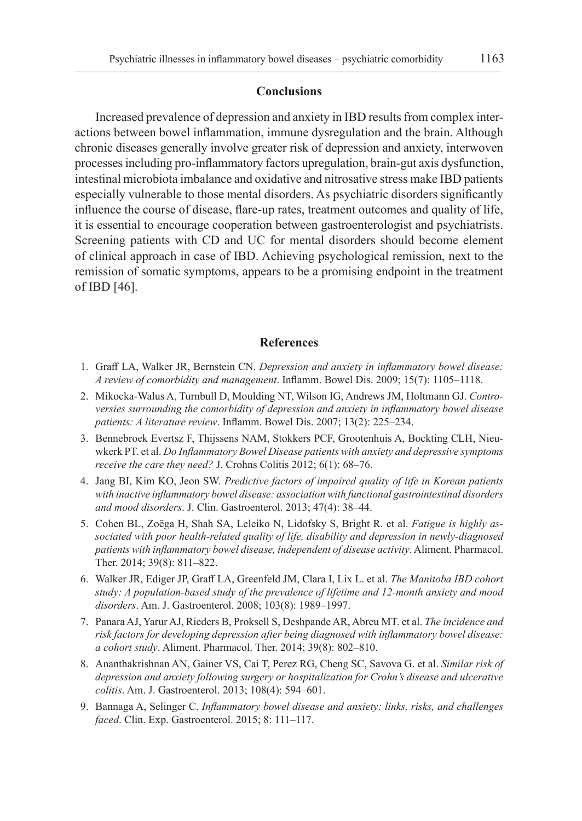#### **Conclusions**

Increased prevalence of depression and anxiety in IBD results from complex interactions between bowel inflammation, immune dysregulation and the brain. Although chronic diseases generally involve greater risk of depression and anxiety, interwoven processes including pro-inflammatory factors upregulation, brain-gut axis dysfunction, intestinal microbiota imbalance and oxidative and nitrosative stress make IBD patients especially vulnerable to those mental disorders. As psychiatric disorders significantly influence the course of disease, flare-up rates, treatment outcomes and quality of life, it is essential to encourage cooperation between gastroenterologist and psychiatrists. Screening patients with CD and UC for mental disorders should become element of clinical approach in case of IBD. Achieving psychological remission, next to the remission of somatic symptoms, appears to be a promising endpoint in the treatment of IBD [46].

## **References**

- 1. Graff LA, Walker JR, Bernstein CN. *Depression and anxiety in inflammatory bowel disease: A review of comorbidity and management*. Inflamm. Bowel Dis. 2009; 15(7): 1105–1118.
- 2. Mikocka-Walus A, Turnbull D, Moulding NT, Wilson IG, Andrews JM, Holtmann GJ. *Controversies surrounding the comorbidity of depression and anxiety in inflammatory bowel disease patients: A literature review*. Inflamm. Bowel Dis. 2007; 13(2): 225–234.
- 3. Bennebroek Evertsz F, Thijssens NAM, Stokkers PCF, Grootenhuis A, Bockting CLH, Nieuwkerk PT. et al. *Do Inflammatory Bowel Disease patients with anxiety and depressive symptoms receive the care they need?* J. Crohns Colitis 2012; 6(1): 68–76.
- 4. Jang BI, Kim KO, Jeon SW. *Predictive factors of impaired quality of life in Korean patients with inactive inflammatory bowel disease: association with functional gastrointestinal disorders and mood disorders*. J. Clin. Gastroenterol. 2013; 47(4): 38–44.
- 5. Cohen BL, Zoëga H, Shah SA, Leleiko N, Lidofsky S, Bright R. et al. *Fatigue is highly associated with poor health-related quality of life, disability and depression in newly-diagnosed patients with inflammatory bowel disease, independent of disease activity*. Aliment. Pharmacol. Ther. 2014; 39(8): 811–822.
- 6. Walker JR, Ediger JP, Graff LA, Greenfeld JM, Clara I, Lix L. et al. *The Manitoba IBD cohort study: A population-based study of the prevalence of lifetime and 12-month anxiety and mood disorders*. Am. J. Gastroenterol. 2008; 103(8): 1989–1997.
- 7. Panara AJ, Yarur AJ, Rieders B, Proksell S, Deshpande AR, Abreu MT. et al. *The incidence and risk factors for developing depression after being diagnosed with inflammatory bowel disease: a cohort study*. Aliment. Pharmacol. Ther. 2014; 39(8): 802–810.
- 8. Ananthakrishnan AN, Gainer VS, Cai T, Perez RG, Cheng SC, Savova G. et al. *Similar risk of depression and anxiety following surgery or hospitalization for Crohn's disease and ulcerative colitis*. Am. J. Gastroenterol. 2013; 108(4): 594–601.
- 9. Bannaga A, Selinger C. *Inflammatory bowel disease and anxiety: links, risks, and challenges faced*. Clin. Exp. Gastroenterol. 2015; 8: 111–117.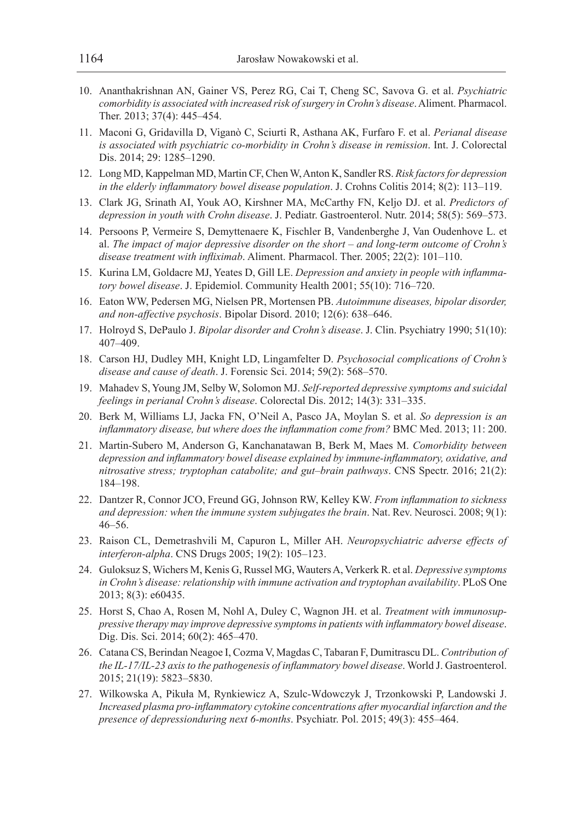- 10. Ananthakrishnan AN, Gainer VS, Perez RG, Cai T, Cheng SC, Savova G. et al. *Psychiatric comorbidity is associated with increased risk of surgery in Crohn's disease*. Aliment. Pharmacol. Ther. 2013; 37(4): 445–454.
- 11. Maconi G, Gridavilla D, Viganò C, Sciurti R, Asthana AK, Furfaro F. et al. *Perianal disease is associated with psychiatric co-morbidity in Crohn's disease in remission*. Int. J. Colorectal Dis. 2014; 29: 1285–1290.
- 12. Long MD, Kappelman MD, Martin CF, Chen W, Anton K, Sandler RS. *Risk factors for depression in the elderly inflammatory bowel disease population*. J. Crohns Colitis 2014; 8(2): 113–119.
- 13. Clark JG, Srinath AI, Youk AO, Kirshner MA, McCarthy FN, Keljo DJ. et al. *Predictors of depression in youth with Crohn disease*. J. Pediatr. Gastroenterol. Nutr. 2014; 58(5): 569–573.
- 14. Persoons P, Vermeire S, Demyttenaere K, Fischler B, Vandenberghe J, Van Oudenhove L. et al. *The impact of major depressive disorder on the short – and long-term outcome of Crohn's disease treatment with infliximab*. Aliment. Pharmacol. Ther. 2005; 22(2): 101–110.
- 15. Kurina LM, Goldacre MJ, Yeates D, Gill LE. *Depression and anxiety in people with inflammatory bowel disease*. J. Epidemiol. Community Health 2001; 55(10): 716–720.
- 16. Eaton WW, Pedersen MG, Nielsen PR, Mortensen PB. *Autoimmune diseases, bipolar disorder, and non-affective psychosis*. Bipolar Disord. 2010; 12(6): 638–646.
- 17. Holroyd S, DePaulo J. *Bipolar disorder and Crohn's disease*. J. Clin. Psychiatry 1990; 51(10): 407–409.
- 18. Carson HJ, Dudley MH, Knight LD, Lingamfelter D. *Psychosocial complications of Crohn's disease and cause of death*. J. Forensic Sci. 2014; 59(2): 568–570.
- 19. Mahadev S, Young JM, Selby W, Solomon MJ. *Self-reported depressive symptoms and suicidal feelings in perianal Crohn's disease*. Colorectal Dis. 2012; 14(3): 331–335.
- 20. Berk M, Williams LJ, Jacka FN, O'Neil A, Pasco JA, Moylan S. et al. *So depression is an inflammatory disease, but where does the inflammation come from?* BMC Med. 2013; 11: 200.
- 21. Martin-Subero M, Anderson G, Kanchanatawan B, Berk M, Maes M. *Comorbidity between depression and inflammatory bowel disease explained by immune-inflammatory, oxidative, and nitrosative stress; tryptophan catabolite; and gut–brain pathways*. CNS Spectr. 2016; 21(2): 184–198.
- 22. Dantzer R, Connor JCO, Freund GG, Johnson RW, Kelley KW. *From inflammation to sickness and depression: when the immune system subjugates the brain*. Nat. Rev. Neurosci. 2008; 9(1): 46–56.
- 23. Raison CL, Demetrashvili M, Capuron L, Miller AH. *Neuropsychiatric adverse effects of interferon-alpha*. CNS Drugs 2005; 19(2): 105–123.
- 24. Guloksuz S, Wichers M, Kenis G, Russel MG, Wauters A, Verkerk R. et al. *Depressive symptoms in Crohn's disease: relationship with immune activation and tryptophan availability*. PLoS One 2013; 8(3): e60435.
- 25. Horst S, Chao A, Rosen M, Nohl A, Duley C, Wagnon JH. et al. *Treatment with immunosuppressive therapy may improve depressive symptoms in patients with inflammatory bowel disease*. Dig. Dis. Sci. 2014; 60(2): 465–470.
- 26. Catana CS, Berindan Neagoe I, Cozma V, Magdas C, Tabaran F, Dumitrascu DL. *Contribution of the IL-17/IL-23 axis to the pathogenesis of inflammatory bowel disease*. World J. Gastroenterol. 2015; 21(19): 5823–5830.
- 27. Wilkowska A, Pikuła M, Rynkiewicz A, Szulc-Wdowczyk J, Trzonkowski P, Landowski J. *Increased plasma pro-inflammatory cytokine concentrations after myocardial infarction and the presence of depressionduring next 6-months*. Psychiatr. Pol. 2015; 49(3): 455–464.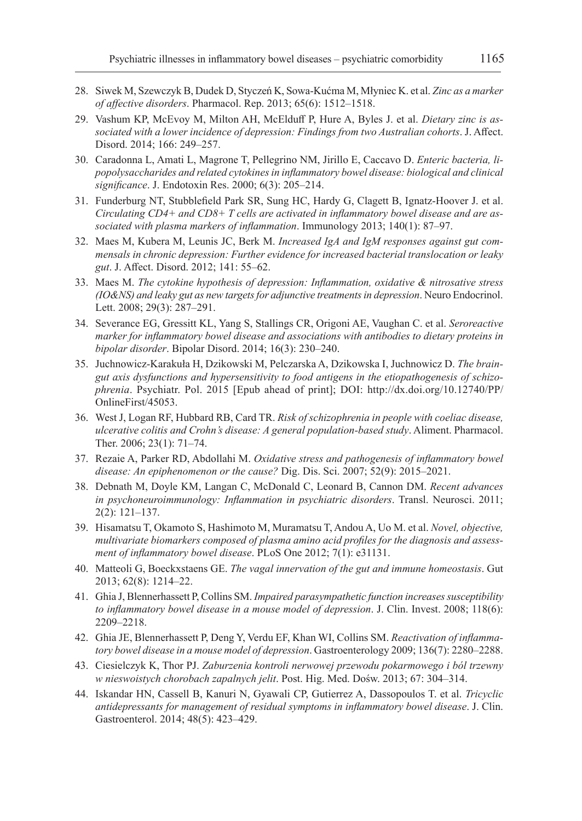- 28. Siwek M, Szewczyk B, Dudek D, Styczeń K, Sowa-Kućma M, Młyniec K. et al. *Zinc as a marker of affective disorders*. Pharmacol. Rep. 2013; 65(6): 1512–1518.
- 29. Vashum KP, McEvoy M, Milton AH, McElduff P, Hure A, Byles J. et al. *Dietary zinc is associated with a lower incidence of depression: Findings from two Australian cohorts*. J. Affect. Disord. 2014; 166: 249–257.
- 30. Caradonna L, Amati L, Magrone T, Pellegrino NM, Jirillo E, Caccavo D. *Enteric bacteria, lipopolysaccharides and related cytokines in inflammatory bowel disease: biological and clinical significance*. J. Endotoxin Res. 2000; 6(3): 205–214.
- 31. Funderburg NT, Stubblefield Park SR, Sung HC, Hardy G, Clagett B, Ignatz-Hoover J. et al. *Circulating CD4+ and CD8+ T cells are activated in inflammatory bowel disease and are associated with plasma markers of inflammation*. Immunology 2013; 140(1): 87–97.
- 32. Maes M, Kubera M, Leunis JC, Berk M. *Increased IgA and IgM responses against gut commensals in chronic depression: Further evidence for increased bacterial translocation or leaky gut*. J. Affect. Disord. 2012; 141: 55–62.
- 33. Maes M. *The cytokine hypothesis of depression: Inflammation, oxidative & nitrosative stress (IO&NS) and leaky gut as new targets for adjunctive treatments in depression*. Neuro Endocrinol. Lett. 2008; 29(3): 287–291.
- 34. Severance EG, Gressitt KL, Yang S, Stallings CR, Origoni AE, Vaughan C. et al. *Seroreactive marker for inflammatory bowel disease and associations with antibodies to dietary proteins in bipolar disorder*. Bipolar Disord. 2014; 16(3): 230–240.
- 35. Juchnowicz-Karakuła H, Dzikowski M, Pelczarska A, Dzikowska I, Juchnowicz D. *The braingut axis dysfunctions and hypersensitivity to food antigens in the etiopathogenesis of schizophrenia*. Psychiatr. Pol. 2015 [Epub ahead of print]; DOI: http://dx.doi.org/10.12740/PP/ OnlineFirst/45053.
- 36. West J, Logan RF, Hubbard RB, Card TR. *Risk of schizophrenia in people with coeliac disease, ulcerative colitis and Crohn's disease: A general population-based study*. Aliment. Pharmacol. Ther. 2006; 23(1): 71–74.
- 37. Rezaie A, Parker RD, Abdollahi M. *Oxidative stress and pathogenesis of inflammatory bowel disease: An epiphenomenon or the cause?* Dig. Dis. Sci. 2007; 52(9): 2015–2021.
- 38. Debnath M, Doyle KM, Langan C, McDonald C, Leonard B, Cannon DM. *Recent advances in psychoneuroimmunology: Inflammation in psychiatric disorders*. Transl. Neurosci. 2011; 2(2): 121–137.
- 39. Hisamatsu T, Okamoto S, Hashimoto M, Muramatsu T, Andou A, Uo M. et al. *Novel, objective, multivariate biomarkers composed of plasma amino acid profiles for the diagnosis and assessment of inflammatory bowel disease*. PLoS One 2012; 7(1): e31131.
- 40. Matteoli G, Boeckxstaens GE. *The vagal innervation of the gut and immune homeostasis*. Gut 2013; 62(8): 1214–22.
- 41. Ghia J, Blennerhassett P, Collins SM. *Impaired parasympathetic function increases susceptibility to inflammatory bowel disease in a mouse model of depression*. J. Clin. Invest. 2008; 118(6): 2209–2218.
- 42. Ghia JE, Blennerhassett P, Deng Y, Verdu EF, Khan WI, Collins SM. *Reactivation of inflammatory bowel disease in a mouse model of depression*. Gastroenterology 2009; 136(7): 2280–2288.
- 43. Ciesielczyk K, Thor PJ. *Zaburzenia kontroli nerwowej przewodu pokarmowego i ból trzewny w nieswoistych chorobach zapalnych jelit*. Post. Hig. Med. Dośw. 2013; 67: 304–314.
- 44. Iskandar HN, Cassell B, Kanuri N, Gyawali CP, Gutierrez A, Dassopoulos T. et al. *Tricyclic antidepressants for management of residual symptoms in inflammatory bowel disease*. J. Clin. Gastroenterol. 2014; 48(5): 423–429.